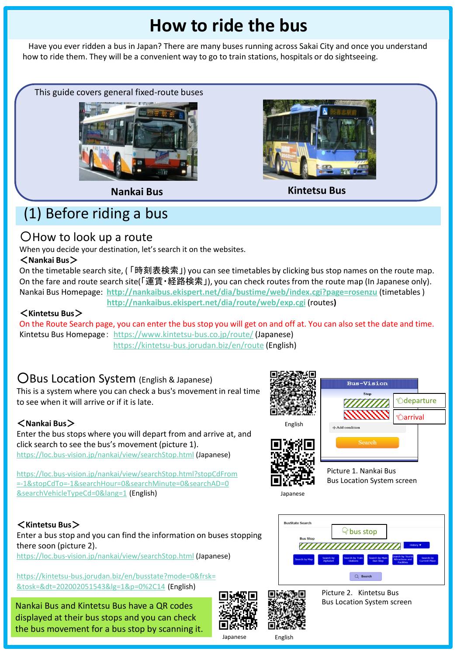# **How to ride the bus**

Have you ever ridden a bus in Japan? There are many buses running across Sakai City and once you understand how to ride them. They will be a convenient way to go to train stations, hospitals or do sightseeing.

This guide covers general fixed-route buses





**Nankai Bus Kintetsu Bus**

# (1) Before riding a bus

## 〇How to look up a route

When you decide your destination, let's search it on the websites.

#### <**Nankai Bus**>

On the timetable search site, (「時刻表検索」) you can see timetables by clicking bus stop names on the route map. On the fare and route search site(「運賃・経路検索」), you can check routes from the route map (In Japanese only). Nankai Bus Homepage: **<http://nankaibus.ekispert.net/dia/bustime/web/index.cgi?page=rosenzu>** (timetables )

#### **<http://nankaibus.ekispert.net/dia/route/web/exp.cgi>** (routes**)**

#### <**Kintetsu Bus**>

On the Route Search page, you can enter the bus stop you will get on and off at. You can also set the date and time. Kintetsu Bus Homepage: <https://www.kintetsu-bus.co.jp/route/> (Japanese) <https://kintetsu-bus.jorudan.biz/en/route> (English)

## ○Bus Location System (English & Japanese)

This is a system where you can check a bus's movement in real time to see when it will arrive or if it is late.

#### <**Nankai Bus**>

Enter the bus stops where you will depart from and arrive at, and click search to see the bus's movement (picture 1). <https://loc.bus-vision.jp/nankai/view/searchStop.html> (Japanese)

[https://loc.bus-vision.jp/nankai/view/searchStop.html?stopCdFrom](https://loc.bus-vision.jp/nankai/view/searchStop.html?stopCdFrom=-1&stopCdTo=-1&searchHour=0&searchMinute=0&searchAD=0&searchVehicleTypeCd=0&lang=1) [=-1&stopCdTo=-1&searchHour=0&searchMinute=0&searchAD=0](https://loc.bus-vision.jp/nankai/view/searchStop.html?stopCdFrom=-1&stopCdTo=-1&searchHour=0&searchMinute=0&searchAD=0&searchVehicleTypeCd=0&lang=1) [&searchVehicleTypeCd=0&lang=1](https://loc.bus-vision.jp/nankai/view/searchStop.html?stopCdFrom=-1&stopCdTo=-1&searchHour=0&searchMinute=0&searchAD=0&searchVehicleTypeCd=0&lang=1) (English)

#### <**Kintetsu Bus**>

Enter a bus stop and you can find the information on buses stopping there soon (picture 2). <https://loc.bus-vision.jp/nankai/view/searchStop.html> (Japanese)

[https://kintetsu-bus.jorudan.biz/en/busstate?mode=0&frsk=](https://kintetsu-bus.jorudan.biz/en/busstate?mode=0&frsk=&tosk=&dt=202002051543&lg=1&p=0%2C14) [&tosk=&dt=202002051543&lg=1&p=0%2C14](https://kintetsu-bus.jorudan.biz/en/busstate?mode=0&frsk=&tosk=&dt=202002051543&lg=1&p=0%2C14) (English)

Nankai Bus and Kintetsu Bus have a QR codes displayed at their bus stops and you can check the bus movement for a bus stop by scanning it.





Picture 2. Kintetsu Bus Bus Location System screen

bus stop

 $Q$  se

,,,,,,,,,,,,,,,,,

Japanese English



Japanese

ا<br>SusState Search

**Bus Stor**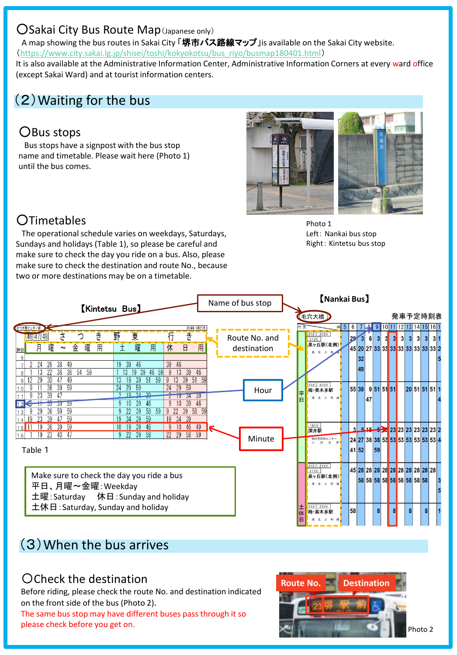#### ○Sakai City Bus Route Map(Japanese only)

A map showing the bus routes in Sakai City 「堺市バス路線マップ Jis available on the Sakai City website. ([https://www.city.sakai.lg.jp/shisei/toshi/kokyokotsu/bus\\_riyo/busmap180401.html](https://www.city.sakai.lg.jp/shisei/toshi/kokyokotsu/bus_riyo/busmap180401.html))

It is also available at the Administrative Information Center, Administrative Information Corners at every ward office (except Sakai Ward) and at tourist information centers.

## (2)Waiting for the bus

## ○Bus stops

Bus stops have a signpost with the bus stop name and timetable. Please wait here (Photo 1) until the bus comes.



## ○Timetables

The operational schedule varies on weekdays, Saturdays, Sundays and holidays (Table 1), so please be careful and make sure to check the day you ride on a bus. Also, please make sure to check the destination and route No., because two or more destinations may be on a timetable.

Photo 1 Left: Nankai bus stop Right: Kintetsu bus stop

|                                                                                                                                                                                                                                                                                        | [Nankai Bus]<br>Name of bus stop                                                                                                                      |                                                                                                                                         |
|----------------------------------------------------------------------------------------------------------------------------------------------------------------------------------------------------------------------------------------------------------------------------------------|-------------------------------------------------------------------------------------------------------------------------------------------------------|-----------------------------------------------------------------------------------------------------------------------------------------|
| <b>Kintetsu Bus</b>                                                                                                                                                                                                                                                                    | 毛穴大橋                                                                                                                                                  | 発車予定時刻表                                                                                                                                 |
| 2014年 9月21日<br>つき野センター                                                                                                                                                                                                                                                                 | 時 5<br>6                                                                                                                                              | 16 1<br>13 14 15<br>9                                                                                                                   |
| き<br>野<br>東<br>き<br>46 47 48<br>о<br>曜<br>曜<br>曜<br>金<br>日<br>月<br>用<br>用<br>用<br>休<br>$\sim$<br>39<br>38<br>39<br>19<br>-46<br>-46<br>36<br>36<br>54<br>59<br>19<br>46<br>-59<br>39<br>46<br>39<br>30<br>29<br>49<br>39<br>59<br>39<br>59<br>19<br>13.<br>51<br>51<br>$\vert 9 \vert$ | $\begin{array}{ c c c c c }\n\hline\n212 & 212V\n\end{array}$<br>Route No. and<br>29<br><b>212C</b><br>泉ヶ丘駅(北側)<br>destination<br>泉 北 2 号<br>32<br>49 | $\overline{3}$<br>3<br>3 <sup>1</sup><br>3<br>$\overline{\mathbf{3}}$<br>3 <sup>l</sup><br>3 1<br>45 20 27 33 33 33 33 33 33 33 33 34 2 |
| 59<br>59<br>39<br>29<br>36<br>24<br>59<br>2 <sub>A</sub><br>10<br>20<br>-39<br>34<br>46<br>9<br>39<br>46<br>-59<br>39<br>᠊ᢆᠣ<br>59<br>9<br>58<br>59                                                                                                                                    | 233 233V<br>栂·美木多駅<br>Hour<br>平日<br>泉 北 2 号 線                                                                                                         | 20 51 51 51 10<br>55 39 9 51 51 51<br>47                                                                                                |
| 49<br>59<br>58<br>Table 1                                                                                                                                                                                                                                                              | 181V<br>深井駅<br>Minute<br>銘の宮団地センター<br>八 田 北 ■<br>北 Br<br>41 52                                                                                        | 3 5 15 5 23 23 23 23 23 23 24<br>24 27 38 38 53 53 53 53 53 53 53 44<br>59                                                              |
| Make sure to check the day you ride a bus<br>平日、月曜~金曜: Weekday<br>土曜: Saturday 休日: Sunday and holiday                                                                                                                                                                                  | $212$ 212V<br>212C<br>泉ヶ丘駅(北側)<br>泉 北 2 号                                                                                                             | 45 28 28 28 28 28 28 28 28 28 28<br>58 58 58 58 58 58 58 58 58                                                                          |
| 土休日: Saturday, Sunday and holiday                                                                                                                                                                                                                                                      | $233$ $233V$<br>E<br>58<br>栂·美木多駅<br>休<br>E<br>泉 北 2 号                                                                                                | 8 <sup>1</sup><br>8<br>8<br>8                                                                                                           |

## (3)When the bus arrives

## 〇Check the destination

Before riding, please check the route No. and destination indicated on the front side of the bus (Photo 2).

The same bus stop may have different buses pass through it so please check before you get on.

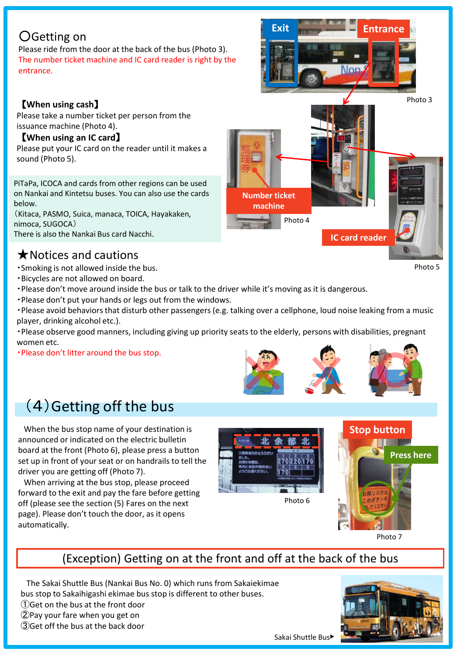## ○Getting on

Please ride from the door at the back of the bus (Photo 3). The number ticket machine and IC card reader is right by the entrance.

#### 【**When using cash**】

Please take a number ticket per person from the issuance machine (Photo 4).

#### 【**When using an IC card**】

Please put your IC card on the reader until it makes a sound (Photo 5).

PiTaPa, ICOCA and cards from other regions can be used on Nankai and Kintetsu buses. You can also use the cards below.

(Kitaca, PASMO, Suica, manaca, TOICA, Hayakaken, nimoca, SUGOCA) There is also the Nankai Bus card Nacchi.

## ★Notices and cautions

・Smoking is not allowed inside the bus.

- ・Bicycles are not allowed on board.
- ・Please don't move around inside the bus or talk to the driver while it's moving as it is dangerous.
- ・Please don't put your hands or legs out from the windows.

・Please avoid behaviors that disturb other passengers (e.g. talking over a cellphone, loud noise leaking from a music player, drinking alcohol etc.).

・Please observe good manners, including giving up priority seats to the elderly, persons with disabilities, pregnant women etc.

・Please don't litter around the bus stop.

# (4)Getting off the bus

When the bus stop name of your destination is announced or indicated on the electric bulletin board at the front (Photo 6), please press a button set up in front of your seat or on handrails to tell the driver you are getting off (Photo 7).

When arriving at the bus stop, please proceed forward to the exit and pay the fare before getting off (please see the section (5) Fares on the next page). Please don't touch the door, as it opens automatically.





Photo 7

(Exception) Getting on at the front and off at the back of the bus

The Sakai Shuttle Bus (Nankai Bus No. 0) which runs from Sakaiekimae bus stop to Sakaihigashi ekimae bus stop is different to other buses.

①Get on the bus at the front door

②Pay your fare when you get on ③Get off the bus at the back door





**Exit Entrance**

Photo 5